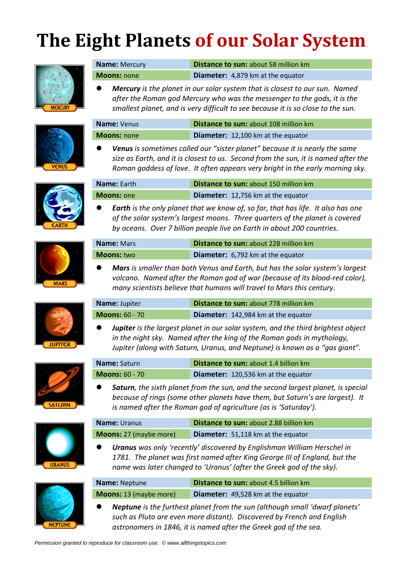## **The Eight Planets of our Solar System**



| <b>Name: Mercury</b> | <b>Distance to sun: about 58 million km</b> |  |
|----------------------|---------------------------------------------|--|
| <b>Moons: none</b>   | Diameter: 4,879 km at the equator           |  |

⚫ *Mercury is the planet in our solar system that is closest to our sun. Named after the Roman god Mercury who was the messenger to the gods, it is the smallest planet, and is very difficult to see because it is so close to the sun.*

| <b>VENUS</b> |  |
|--------------|--|



**Name:** Venus **Distance to sun:** about 108 million km

**Name:** Earth **Distance to sun:** about 150 million km **Moons:** one **Diameter:** 12,756 km at the equator







| <b>Name:</b> Mars | <b>Distance to sun: about 228 million km</b> |
|-------------------|----------------------------------------------|
| <b>Moons:</b> two | Diameter: 6,792 km at the equator            |

*by oceans. Over 7 billion people live on Earth in about 200 countries.* 

⚫ *Earth is the only planet that we know of, so far, that has life. It also has one of the solar system's largest moons. Three quarters of the planet is covered* 

⚫ *Mars is smaller than both Venus and Earth, but has the solar system's largest volcano. Named after the Roman god of war (because of its blood-red color), many scientists believe that humans will travel to Mars this century.*

| Name: Jupiter         | <b>Distance to sun: about 778 million km</b> |  |
|-----------------------|----------------------------------------------|--|
| <b>Moons:</b> 60 - 70 | <b>Diameter:</b> 142,984 km at the equator   |  |

⚫ *Jupiter is the largest planet in our solar system, and the third brightest object in the night sky. Named after the king of the Roman gods in mythology, Jupiter (along with Saturn, Uranus, and Neptune) is known as a "gas giant".*

Saturn, the sixth planet from the sun, and the second largest planet, is special *because of rings (some other planets have them, but Saturn's are largest). It* 

| <b>SATURN</b> |  |  |
|---------------|--|--|





| is named after the noman god of agriculture fusis suturally fi |                                               |  |
|----------------------------------------------------------------|-----------------------------------------------|--|
| <b>Name:</b> Uranus                                            | <b>Distance to sun: about 2.88 billion km</b> |  |
| <b>Moons:</b> 27 (maybe more)                                  | Diameter: 51,118 km at the equator            |  |

*is named after the Roman god of agriculture (as is 'Saturday').*

**Name:** Saturn **Distance to sun:** about 1.4 billion km **Moons:** 60 - 70 **Diameter:** 120,536 km at the equator

⚫ *Uranus was only 'recently' discovered by Englishman William Herschel in*  1781. The planet was first named after King George III of England, but the *name was later changed to 'Uranus' (after the Greek god of the sky).*

| <b>NEPTUNE</b> |
|----------------|

| <b>Name: Neptune</b>          | <b>Distance to sun: about 4.5 billion km</b> |  |
|-------------------------------|----------------------------------------------|--|
| <b>Moons:</b> 13 (maybe more) | Diameter: 49,528 km at the equator           |  |

⚫ *Neptune is the furthest planet from the sun (although small 'dwarf planets' such as Pluto are even more distant). Discovered by French and English astronomers in 1846, it is named after the Greek god of the sea.*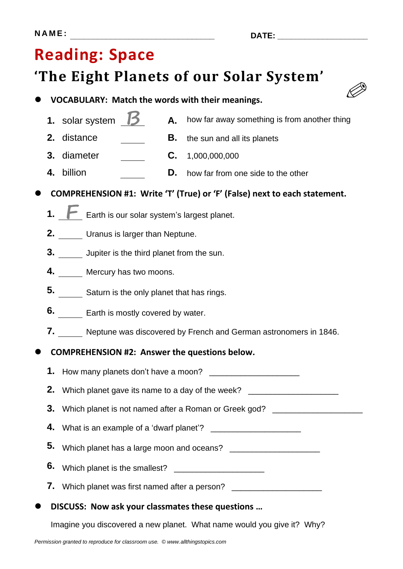# **Reading: Space**

## **'The Eight Planets of our Solar System'**



- **1.** solar system  $\beta$  **A.** how far away something is from another thing
- **2.** distance **B.** the sun and all its planets
- **3.** diameter **C.** 1,000,000,000
- **4.** billion **D.** how far from one side to the other

⚫ **COMPREHENSION #1: Write 'T' (True) or 'F' (False) next to each statement.**

- 1. **F** Earth is our solar system's largest planet.
- **2.** Uranus is larger than Neptune.
- **3.** Jupiter is the third planet from the sun.
- **4.** Mercury has two moons.
- **5.** Saturn is the only planet that has rings.
- **6.** Earth is mostly covered by water.
- **7.** Neptune was discovered by French and German astronomers in 1846.

### ⚫ **COMPREHENSION #2: Answer the questions below.**

|                                                    |  | 2. Which planet gave its name to a day of the week? ____________________________ |  |
|----------------------------------------------------|--|----------------------------------------------------------------------------------|--|
|                                                    |  | 3. Which planet is not named after a Roman or Greek god? _______________         |  |
|                                                    |  |                                                                                  |  |
|                                                    |  | 5. Which planet has a large moon and oceans? ___________________________________ |  |
|                                                    |  |                                                                                  |  |
|                                                    |  | 7. Which planet was first named after a person? ________________________________ |  |
| • DISCUSS: Now ask your classmates these questions |  |                                                                                  |  |

Imagine you discovered a new planet. What name would you give it? Why?